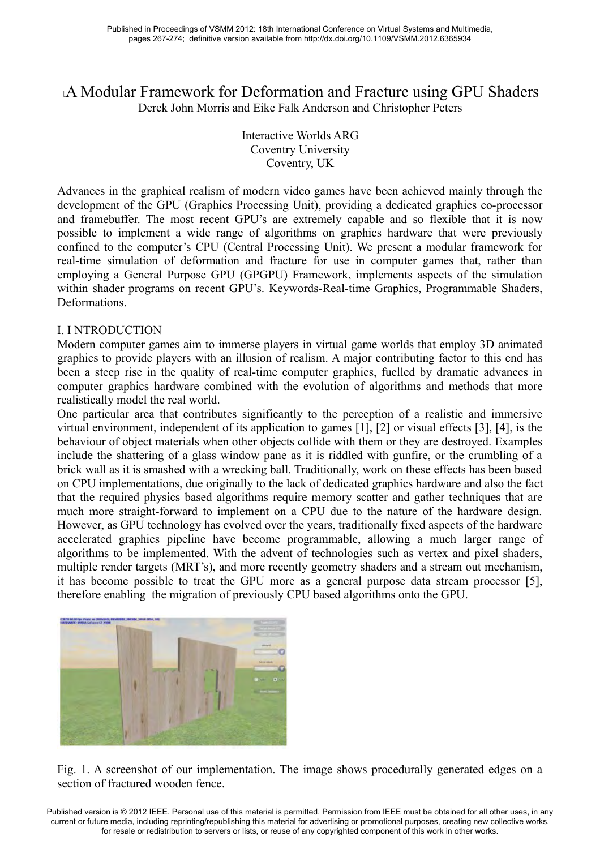# A Modular Framework for Deformation and Fracture using GPU Shaders Derek John Morris and Eike Falk Anderson and Christopher Peters

Interactive Worlds ARG Coventry University Coventry, UK

Advances in the graphical realism of modern video games have been achieved mainly through the development of the GPU (Graphics Processing Unit), providing a dedicated graphics co-processor and framebuffer. The most recent GPU's are extremely capable and so flexible that it is now possible to implement a wide range of algorithms on graphics hardware that were previously confined to the computer's CPU (Central Processing Unit). We present a modular framework for real-time simulation of deformation and fracture for use in computer games that, rather than employing a General Purpose GPU (GPGPU) Framework, implements aspects of the simulation within shader programs on recent GPU's. Keywords-Real-time Graphics, Programmable Shaders, **Deformations** 

## I. I NTRODUCTION

Modern computer games aim to immerse players in virtual game worlds that employ 3D animated graphics to provide players with an illusion of realism. A major contributing factor to this end has been a steep rise in the quality of real-time computer graphics, fuelled by dramatic advances in computer graphics hardware combined with the evolution of algorithms and methods that more realistically model the real world.

One particular area that contributes significantly to the perception of a realistic and immersive virtual environment, independent of its application to games [1], [2] or visual effects [3], [4], is the behaviour of object materials when other objects collide with them or they are destroyed. Examples include the shattering of a glass window pane as it is riddled with gunfire, or the crumbling of a brick wall as it is smashed with a wrecking ball. Traditionally, work on these effects has been based on CPU implementations, due originally to the lack of dedicated graphics hardware and also the fact that the required physics based algorithms require memory scatter and gather techniques that are much more straight-forward to implement on a CPU due to the nature of the hardware design. However, as GPU technology has evolved over the years, traditionally fixed aspects of the hardware accelerated graphics pipeline have become programmable, allowing a much larger range of algorithms to be implemented. With the advent of technologies such as vertex and pixel shaders, multiple render targets (MRT's), and more recently geometry shaders and a stream out mechanism, it has become possible to treat the GPU more as a general purpose data stream processor [5], therefore enabling the migration of previously CPU based algorithms onto the GPU.



Fig. 1. A screenshot of our implementation. The image shows procedurally generated edges on a section of fractured wooden fence.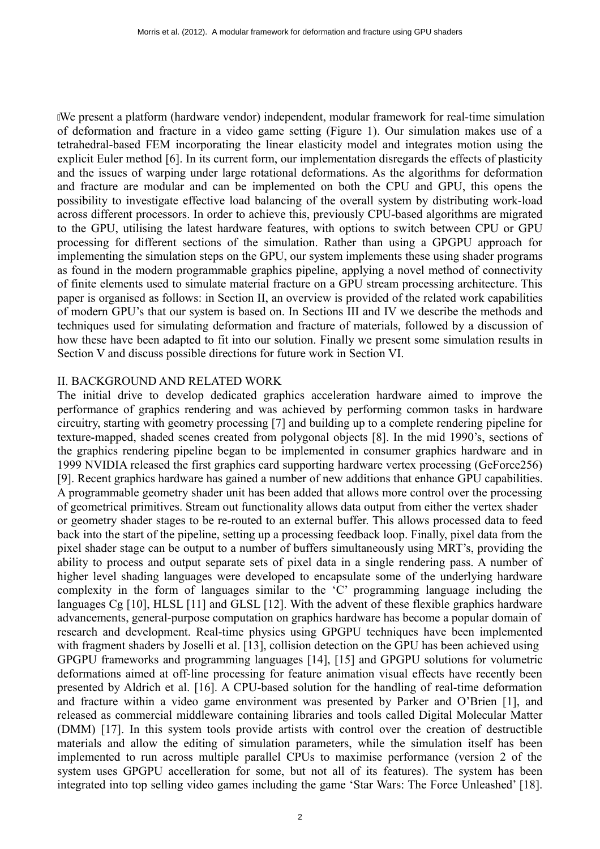We present a platform (hardware vendor) independent, modular framework for real-time simulation of deformation and fracture in a video game setting (Figure 1). Our simulation makes use of a tetrahedral-based FEM incorporating the linear elasticity model and integrates motion using the explicit Euler method [6]. In its current form, our implementation disregards the effects of plasticity and the issues of warping under large rotational deformations. As the algorithms for deformation and fracture are modular and can be implemented on both the CPU and GPU, this opens the possibility to investigate effective load balancing of the overall system by distributing work-load across different processors. In order to achieve this, previously CPU-based algorithms are migrated to the GPU, utilising the latest hardware features, with options to switch between CPU or GPU processing for different sections of the simulation. Rather than using a GPGPU approach for implementing the simulation steps on the GPU, our system implements these using shader programs as found in the modern programmable graphics pipeline, applying a novel method of connectivity of finite elements used to simulate material fracture on a GPU stream processing architecture. This paper is organised as follows: in Section II, an overview is provided of the related work capabilities of modern GPU's that our system is based on. In Sections III and IV we describe the methods and techniques used for simulating deformation and fracture of materials, followed by a discussion of how these have been adapted to fit into our solution. Finally we present some simulation results in Section V and discuss possible directions for future work in Section VI.

#### II. BACKGROUND AND RELATED WORK

The initial drive to develop dedicated graphics acceleration hardware aimed to improve the performance of graphics rendering and was achieved by performing common tasks in hardware circuitry, starting with geometry processing [7] and building up to a complete rendering pipeline for texture-mapped, shaded scenes created from polygonal objects [8]. In the mid 1990's, sections of the graphics rendering pipeline began to be implemented in consumer graphics hardware and in 1999 NVIDIA released the first graphics card supporting hardware vertex processing (GeForce256) [9]. Recent graphics hardware has gained a number of new additions that enhance GPU capabilities. A programmable geometry shader unit has been added that allows more control over the processing of geometrical primitives. Stream out functionality allows data output from either the vertex shader or geometry shader stages to be re-routed to an external buffer. This allows processed data to feed back into the start of the pipeline, setting up a processing feedback loop. Finally, pixel data from the pixel shader stage can be output to a number of buffers simultaneously using MRT's, providing the ability to process and output separate sets of pixel data in a single rendering pass. A number of higher level shading languages were developed to encapsulate some of the underlying hardware complexity in the form of languages similar to the 'C' programming language including the languages Cg [10], HLSL [11] and GLSL [12]. With the advent of these flexible graphics hardware advancements, general-purpose computation on graphics hardware has become a popular domain of research and development. Real-time physics using GPGPU techniques have been implemented with fragment shaders by Joselli et al. [13], collision detection on the GPU has been achieved using GPGPU frameworks and programming languages [14], [15] and GPGPU solutions for volumetric deformations aimed at off-line processing for feature animation visual effects have recently been presented by Aldrich et al. [16]. A CPU-based solution for the handling of real-time deformation and fracture within a video game environment was presented by Parker and O'Brien [1], and released as commercial middleware containing libraries and tools called Digital Molecular Matter (DMM) [17]. In this system tools provide artists with control over the creation of destructible materials and allow the editing of simulation parameters, while the simulation itself has been implemented to run across multiple parallel CPUs to maximise performance (version 2 of the system uses GPGPU accelleration for some, but not all of its features). The system has been integrated into top selling video games including the game 'Star Wars: The Force Unleashed' [18]. Morris dial. (2012). A modular framework for deformation and fracture using GPU shades that HTMM incorporating the linear electicity model and integrates and the HTMM incorporating the linear electicity model and integrate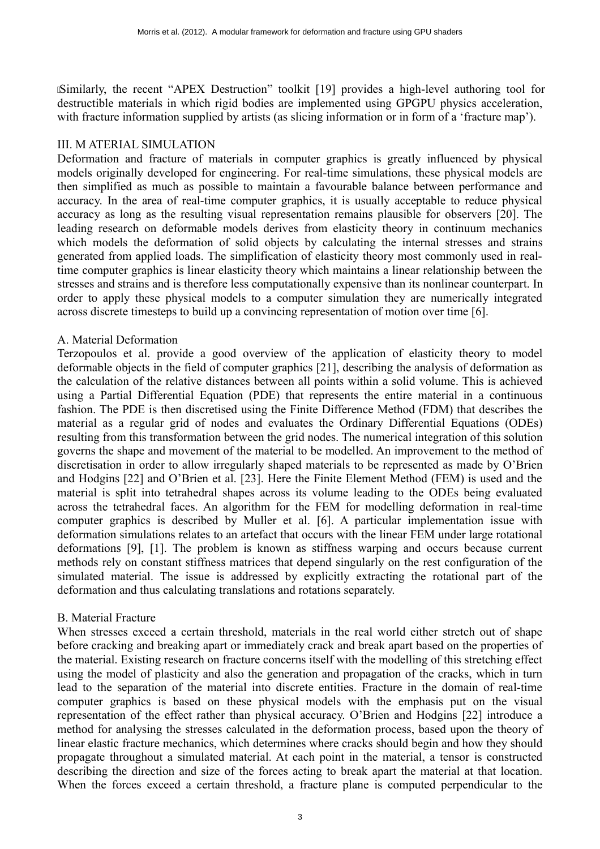Similarly, the recent "APEX Destruction" toolkit [19] provides a high-level authoring tool for destructible materials in which rigid bodies are implemented using GPGPU physics acceleration, with fracture information supplied by artists (as slicing information or in form of a 'fracture map').

#### III. M ATERIAL SIMULATION

Deformation and fracture of materials in computer graphics is greatly influenced by physical models originally developed for engineering. For real-time simulations, these physical models are then simplified as much as possible to maintain a favourable balance between performance and accuracy. In the area of real-time computer graphics, it is usually acceptable to reduce physical accuracy as long as the resulting visual representation remains plausible for observers [20]. The leading research on deformable models derives from elasticity theory in continuum mechanics which models the deformation of solid objects by calculating the internal stresses and strains generated from applied loads. The simplification of elasticity theory most commonly used in realtime computer graphics is linear elasticity theory which maintains a linear relationship between the stresses and strains and is therefore less computationally expensive than its nonlinear counterpart. In order to apply these physical models to a computer simulation they are numerically integrated across discrete timesteps to build up a convincing representation of motion over time [6].

#### A. Material Deformation

Terzopoulos et al. provide a good overview of the application of elasticity theory to model deformable objects in the field of computer graphics [21], describing the analysis of deformation as the calculation of the relative distances between all points within a solid volume. This is achieved using a Partial Differential Equation (PDE) that represents the entire material in a continuous fashion. The PDE is then discretised using the Finite Difference Method (FDM) that describes the material as a regular grid of nodes and evaluates the Ordinary Differential Equations (ODEs) resulting from this transformation between the grid nodes. The numerical integration of this solution governs the shape and movement of the material to be modelled. An improvement to the method of discretisation in order to allow irregularly shaped materials to be represented as made by O'Brien and Hodgins [22] and O'Brien et al. [23]. Here the Finite Element Method (FEM) is used and the material is split into tetrahedral shapes across its volume leading to the ODEs being evaluated across the tetrahedral faces. An algorithm for the FEM for modelling deformation in real-time computer graphics is described by Muller et al. [6]. A particular implementation issue with deformation simulations relates to an artefact that occurs with the linear FEM under large rotational deformations [9], [1]. The problem is known as stiffness warping and occurs because current methods rely on constant stiffness matrices that depend singularly on the rest configuration of the simulated material. The issue is addressed by explicitly extracting the rotational part of the deformation and thus calculating translations and rotations separately. Morris dial (2012). A modular framework for deformation and facture using GPU shores<br>
ecent "APEX Destruction" toolkit [19] provides a high-level at<br>
erical first particular and high bodies are implemented using GPGPU phys

#### B. Material Fracture

When stresses exceed a certain threshold, materials in the real world either stretch out of shape before cracking and breaking apart or immediately crack and break apart based on the properties of the material. Existing research on fracture concerns itself with the modelling of this stretching effect using the model of plasticity and also the generation and propagation of the cracks, which in turn lead to the separation of the material into discrete entities. Fracture in the domain of real-time computer graphics is based on these physical models with the emphasis put on the visual representation of the effect rather than physical accuracy. O'Brien and Hodgins [22] introduce a method for analysing the stresses calculated in the deformation process, based upon the theory of linear elastic fracture mechanics, which determines where cracks should begin and how they should propagate throughout a simulated material. At each point in the material, a tensor is constructed describing the direction and size of the forces acting to break apart the material at that location. When the forces exceed a certain threshold, a fracture plane is computed perpendicular to the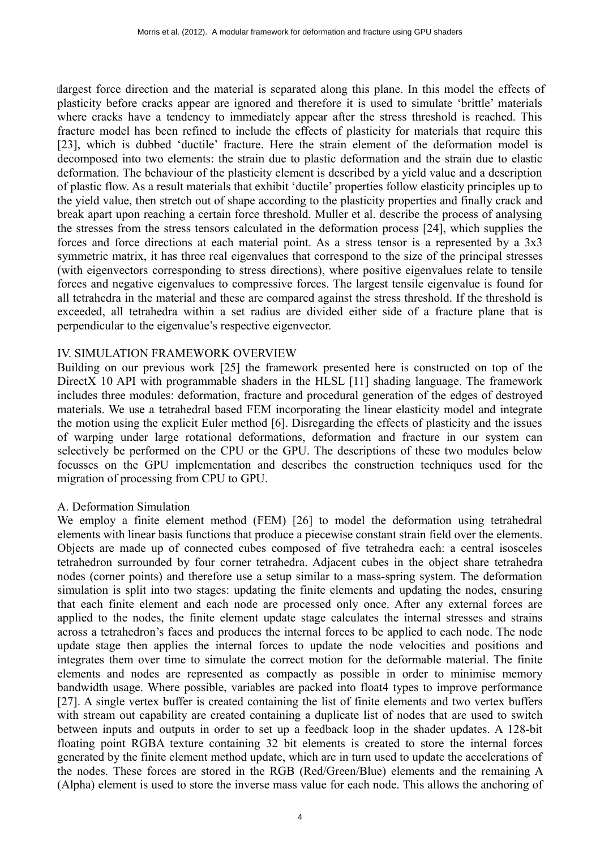largest force direction and the material is separated along this plane. In this model the effects of plasticity before cracks appear are ignored and therefore it is used to simulate 'brittle' materials where cracks have a tendency to immediately appear after the stress threshold is reached. This fracture model has been refined to include the effects of plasticity for materials that require this [23], which is dubbed 'ductile' fracture. Here the strain element of the deformation model is decomposed into two elements: the strain due to plastic deformation and the strain due to elastic deformation. The behaviour of the plasticity element is described by a yield value and a description of plastic flow. As a result materials that exhibit 'ductile' properties follow elasticity principles up to the yield value, then stretch out of shape according to the plasticity properties and finally crack and break apart upon reaching a certain force threshold. Muller et al. describe the process of analysing the stresses from the stress tensors calculated in the deformation process [24], which supplies the forces and force directions at each material point. As a stress tensor is a represented by a 3x3 symmetric matrix, it has three real eigenvalues that correspond to the size of the principal stresses (with eigenvectors corresponding to stress directions), where positive eigenvalues relate to tensile forces and negative eigenvalues to compressive forces. The largest tensile eigenvalue is found for all tetrahedra in the material and these are compared against the stress threshold. If the threshold is exceeded, all tetrahedra within a set radius are divided either side of a fracture plane that is perpendicular to the eigenvalue's respective eigenvector.

#### IV. SIMULATION FRAMEWORK OVERVIEW

Building on our previous work [25] the framework presented here is constructed on top of the DirectX 10 API with programmable shaders in the HLSL [11] shading language. The framework includes three modules: deformation, fracture and procedural generation of the edges of destroyed materials. We use a tetrahedral based FEM incorporating the linear elasticity model and integrate the motion using the explicit Euler method [6]. Disregarding the effects of plasticity and the issues of warping under large rotational deformations, deformation and fracture in our system can selectively be performed on the CPU or the GPU. The descriptions of these two modules below focusses on the GPU implementation and describes the construction techniques used for the migration of processing from CPU to GPU.

#### A. Deformation Simulation

We employ a finite element method (FEM) [26] to model the deformation using tetrahedral elements with linear basis functions that produce a piecewise constant strain field over the elements. Objects are made up of connected cubes composed of five tetrahedra each: a central isosceles tetrahedron surrounded by four corner tetrahedra. Adjacent cubes in the object share tetrahedra nodes (corner points) and therefore use a setup similar to a mass-spring system. The deformation simulation is split into two stages: updating the finite elements and updating the nodes, ensuring that each finite element and each node are processed only once. After any external forces are applied to the nodes, the finite element update stage calculates the internal stresses and strains across a tetrahedron's faces and produces the internal forces to be applied to each node. The node update stage then applies the internal forces to update the node velocities and positions and integrates them over time to simulate the correct motion for the deformable material. The finite elements and nodes are represented as compactly as possible in order to minimise memory bandwidth usage. Where possible, variables are packed into float4 types to improve performance [27]. A single vertex buffer is created containing the list of finite elements and two vertex buffers with stream out capability are created containing a duplicate list of nodes that are used to switch between inputs and outputs in order to set up a feedback loop in the shader updates. A 128-bit floating point RGBA texture containing 32 bit elements is created to store the internal forces generated by the finite element method update, which are in turn used to update the accelerations of the nodes. These forces are stored in the RGB (Red/Green/Blue) elements and the remaining A (Alpha) element is used to store the inverse mass value for each node. This allows the anchoring of Morris at al. (2012). A modular framework for deformation and factors und GPU shades<br>rection and the material is separated along this plane. In this mod<br>cracks appear are ignored and therefore it is used to simulate "<br>we a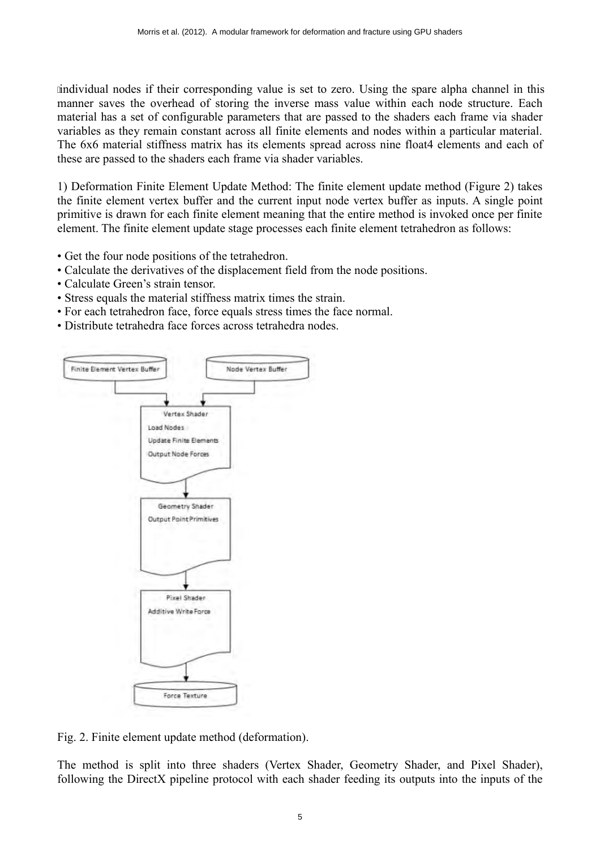individual nodes if their corresponding value is set to zero. Using the spare alpha channel in this manner saves the overhead of storing the inverse mass value within each node structure. Each material has a set of configurable parameters that are passed to the shaders each frame via shader variables as they remain constant across all finite elements and nodes within a particular material. The 6x6 material stiffness matrix has its elements spread across nine float4 elements and each of these are passed to the shaders each frame via shader variables.

1) Deformation Finite Element Update Method: The finite element update method (Figure 2) takes the finite element vertex buffer and the current input node vertex buffer as inputs. A single point primitive is drawn for each finite element meaning that the entire method is invoked once per finite element. The finite element update stage processes each finite element tetrahedron as follows:

- Get the four node positions of the tetrahedron.
- Calculate the derivatives of the displacement field from the node positions.
- Calculate Green's strain tensor.
- Stress equals the material stiffness matrix times the strain.
- For each tetrahedron face, force equals stress times the face normal.
- Distribute tetrahedra face forces across tetrahedra nodes.



Fig. 2. Finite element update method (deformation).

The method is split into three shaders (Vertex Shader, Geometry Shader, and Pixel Shader), following the DirectX pipeline protocol with each shader feeding its outputs into the inputs of the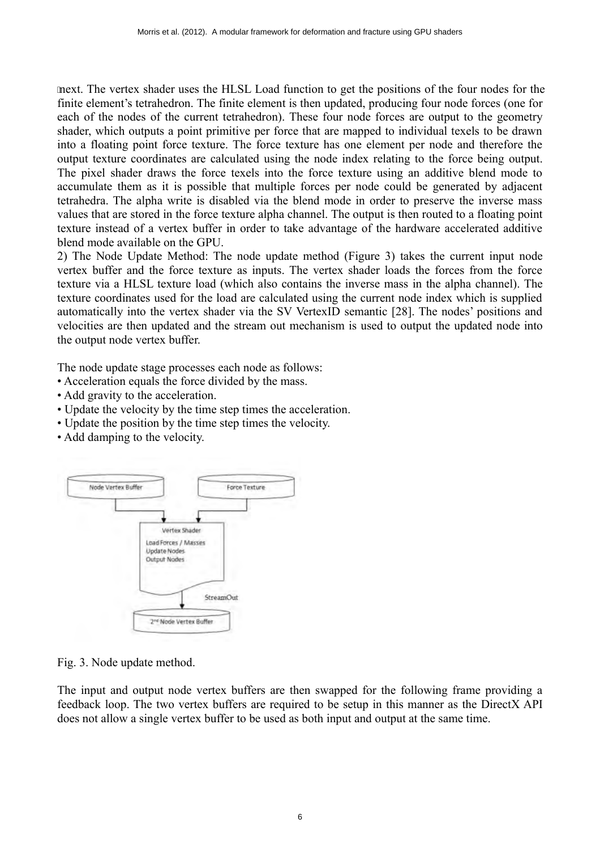next. The vertex shader uses the HLSL Load function to get the positions of the four nodes for the finite element's tetrahedron. The finite element is then updated, producing four node forces (one for each of the nodes of the current tetrahedron). These four node forces are output to the geometry shader, which outputs a point primitive per force that are mapped to individual texels to be drawn into a floating point force texture. The force texture has one element per node and therefore the output texture coordinates are calculated using the node index relating to the force being output. The pixel shader draws the force texels into the force texture using an additive blend mode to accumulate them as it is possible that multiple forces per node could be generated by adjacent tetrahedra. The alpha write is disabled via the blend mode in order to preserve the inverse mass values that are stored in the force texture alpha channel. The output is then routed to a floating point texture instead of a vertex buffer in order to take advantage of the hardware accelerated additive blend mode available on the GPU. Morris et al. (2012). A modular framework for deformation and fracture using GPU shades<br>
stadder uses the HLSL. Load function to get the positions of the frementation. The finite element is then updated, producing four no

2) The Node Update Method: The node update method (Figure 3) takes the current input node vertex buffer and the force texture as inputs. The vertex shader loads the forces from the force texture via a HLSL texture load (which also contains the inverse mass in the alpha channel). The texture coordinates used for the load are calculated using the current node index which is supplied automatically into the vertex shader via the SV VertexID semantic [28]. The nodes' positions and velocities are then updated and the stream out mechanism is used to output the updated node into the output node vertex buffer.

The node update stage processes each node as follows:

- Acceleration equals the force divided by the mass.
- Add gravity to the acceleration.
- Update the velocity by the time step times the acceleration.
- Update the position by the time step times the velocity.
- Add damping to the velocity.



Fig. 3. Node update method.

The input and output node vertex buffers are then swapped for the following frame providing a feedback loop. The two vertex buffers are required to be setup in this manner as the DirectX API does not allow a single vertex buffer to be used as both input and output at the same time.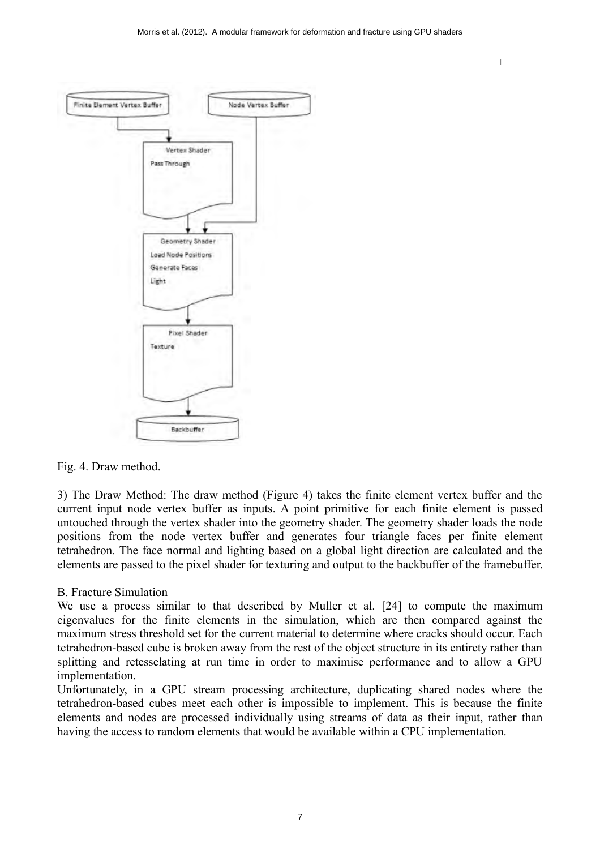

Fig. 4. Draw method.

3) The Draw Method: The draw method (Figure 4) takes the finite element vertex buffer and the current input node vertex buffer as inputs. A point primitive for each finite element is passed untouched through the vertex shader into the geometry shader. The geometry shader loads the node positions from the node vertex buffer and generates four triangle faces per finite element tetrahedron. The face normal and lighting based on a global light direction are calculated and the elements are passed to the pixel shader for texturing and output to the backbuffer of the framebuffer.

#### B. Fracture Simulation

We use a process similar to that described by Muller et al. [24] to compute the maximum eigenvalues for the finite elements in the simulation, which are then compared against the maximum stress threshold set for the current material to determine where cracks should occur. Each tetrahedron-based cube is broken away from the rest of the object structure in its entirety rather than splitting and retesselating at run time in order to maximise performance and to allow a GPU implementation.

Unfortunately, in a GPU stream processing architecture, duplicating shared nodes where the tetrahedron-based cubes meet each other is impossible to implement. This is because the finite elements and nodes are processed individually using streams of data as their input, rather than having the access to random elements that would be available within a CPU implementation.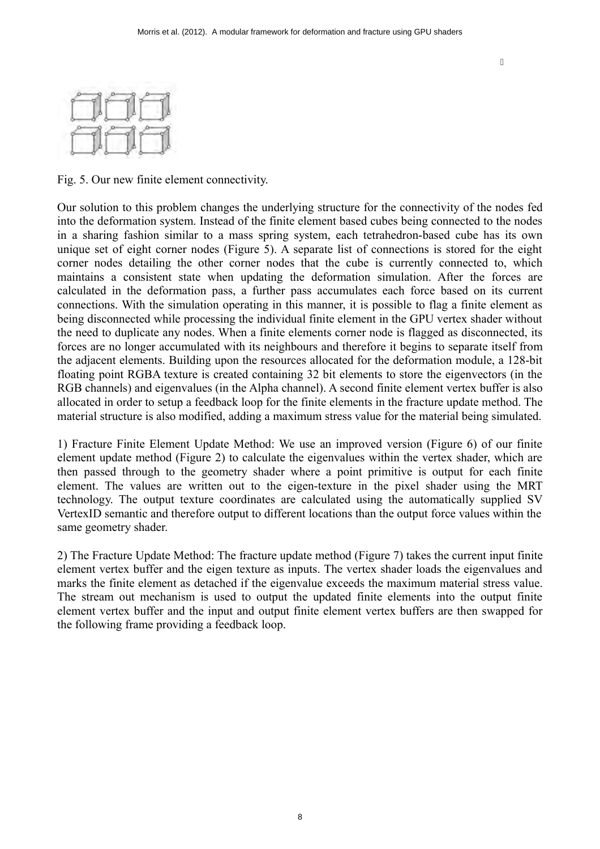

Fig. 5. Our new finite element connectivity.

Our solution to this problem changes the underlying structure for the connectivity of the nodes fed into the deformation system. Instead of the finite element based cubes being connected to the nodes in a sharing fashion similar to a mass spring system, each tetrahedron-based cube has its own unique set of eight corner nodes (Figure 5). A separate list of connections is stored for the eight corner nodes detailing the other corner nodes that the cube is currently connected to, which maintains a consistent state when updating the deformation simulation. After the forces are calculated in the deformation pass, a further pass accumulates each force based on its current connections. With the simulation operating in this manner, it is possible to flag a finite element as being disconnected while processing the individual finite element in the GPU vertex shader without the need to duplicate any nodes. When a finite elements corner node is flagged as disconnected, its forces are no longer accumulated with its neighbours and therefore it begins to separate itself from the adjacent elements. Building upon the resources allocated for the deformation module, a 128-bit floating point RGBA texture is created containing 32 bit elements to store the eigenvectors (in the RGB channels) and eigenvalues (in the Alpha channel). A second finite element vertex buffer is also allocated in order to setup a feedback loop for the finite elements in the fracture update method. The material structure is also modified, adding a maximum stress value for the material being simulated. Morris et al. (2012). A modular framework for deformation and fracture using GPU shades<br>
finite clement conmectivity.<br>
This problem changes the underlying structure for the connectivity<br>
this problem changed for the frame

1) Fracture Finite Element Update Method: We use an improved version (Figure 6) of our finite element update method (Figure 2) to calculate the eigenvalues within the vertex shader, which are then passed through to the geometry shader where a point primitive is output for each finite element. The values are written out to the eigen-texture in the pixel shader using the MRT technology. The output texture coordinates are calculated using the automatically supplied SV VertexID semantic and therefore output to different locations than the output force values within the same geometry shader.

2) The Fracture Update Method: The fracture update method (Figure 7) takes the current input finite element vertex buffer and the eigen texture as inputs. The vertex shader loads the eigenvalues and marks the finite element as detached if the eigenvalue exceeds the maximum material stress value. The stream out mechanism is used to output the updated finite elements into the output finite element vertex buffer and the input and output finite element vertex buffers are then swapped for the following frame providing a feedback loop.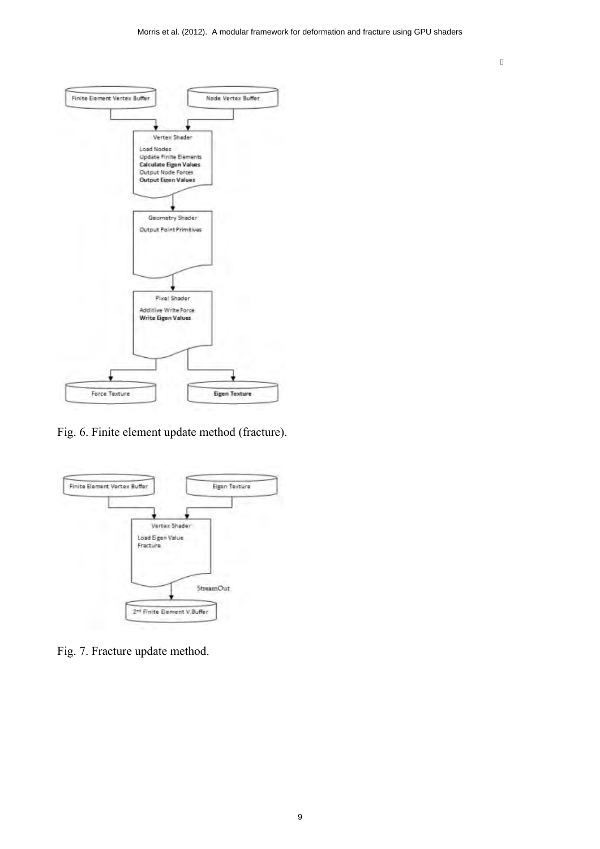$\ddot{ }$ 



Fig. 6. Finite element update method (fracture).



Fig. 7. Fracture update method.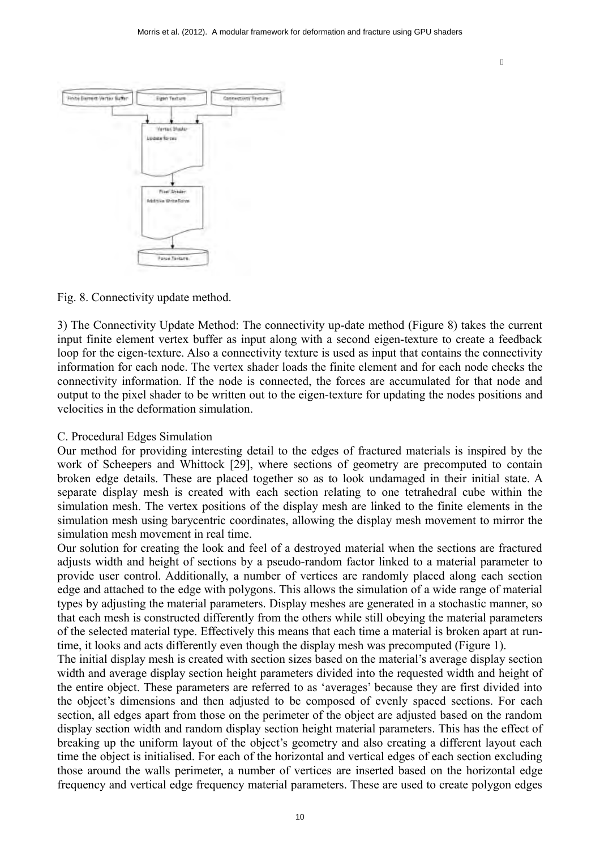

Fig. 8. Connectivity update method.

3) The Connectivity Update Method: The connectivity up-date method (Figure 8) takes the current input finite element vertex buffer as input along with a second eigen-texture to create a feedback loop for the eigen-texture. Also a connectivity texture is used as input that contains the connectivity information for each node. The vertex shader loads the finite element and for each node checks the connectivity information. If the node is connected, the forces are accumulated for that node and output to the pixel shader to be written out to the eigen-texture for updating the nodes positions and velocities in the deformation simulation.

#### C. Procedural Edges Simulation

Our method for providing interesting detail to the edges of fractured materials is inspired by the work of Scheepers and Whittock [29], where sections of geometry are precomputed to contain broken edge details. These are placed together so as to look undamaged in their initial state. A separate display mesh is created with each section relating to one tetrahedral cube within the simulation mesh. The vertex positions of the display mesh are linked to the finite elements in the simulation mesh using barycentric coordinates, allowing the display mesh movement to mirror the simulation mesh movement in real time.

Our solution for creating the look and feel of a destroyed material when the sections are fractured adjusts width and height of sections by a pseudo-random factor linked to a material parameter to provide user control. Additionally, a number of vertices are randomly placed along each section edge and attached to the edge with polygons. This allows the simulation of a wide range of material types by adjusting the material parameters. Display meshes are generated in a stochastic manner, so that each mesh is constructed differently from the others while still obeying the material parameters of the selected material type. Effectively this means that each time a material is broken apart at runtime, it looks and acts differently even though the display mesh was precomputed (Figure 1).

The initial display mesh is created with section sizes based on the material's average display section width and average display section height parameters divided into the requested width and height of the entire object. These parameters are referred to as 'averages' because they are first divided into the object's dimensions and then adjusted to be composed of evenly spaced sections. For each section, all edges apart from those on the perimeter of the object are adjusted based on the random display section width and random display section height material parameters. This has the effect of breaking up the uniform layout of the object's geometry and also creating a different layout each time the object is initialised. For each of the horizontal and vertical edges of each section excluding those around the walls perimeter, a number of vertices are inserted based on the horizontal edge frequency and vertical edge frequency material parameters. These are used to create polygon edges Morris dial. (2012). A modular framework for deformation and fracture using GPU shades<br>
The monutour contents of the connectivity up-date method (Figure 8) the<br>
monutour contents half the signal and particular framework fo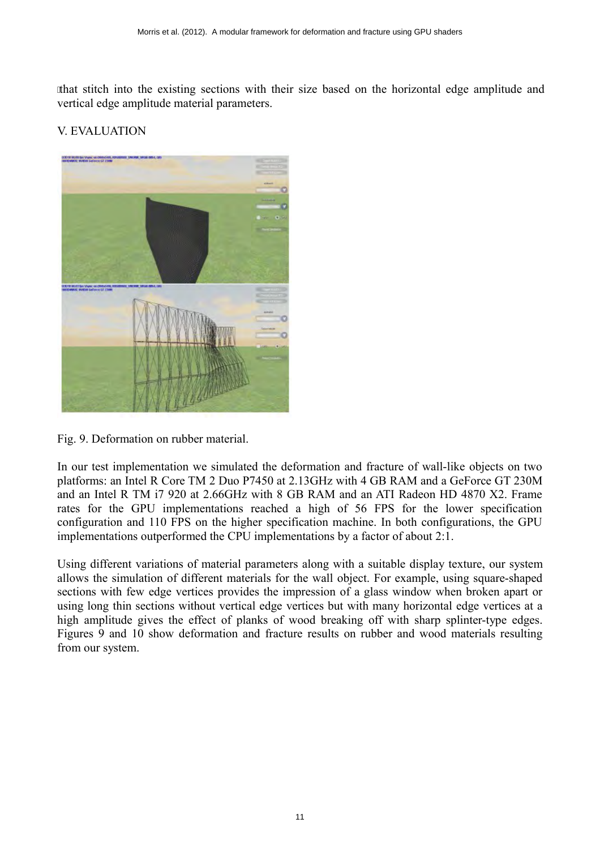that stitch into the existing sections with their size based on the horizontal edge amplitude and vertical edge amplitude material parameters.

## V. EVALUATION



Fig. 9. Deformation on rubber material.

In our test implementation we simulated the deformation and fracture of wall-like objects on two platforms: an Intel R Core TM 2 Duo P7450 at 2.13GHz with 4 GB RAM and a GeForce GT 230M and an Intel R TM i7 920 at 2.66GHz with 8 GB RAM and an ATI Radeon HD 4870 X2. Frame rates for the GPU implementations reached a high of 56 FPS for the lower specification configuration and 110 FPS on the higher specification machine. In both configurations, the GPU implementations outperformed the CPU implementations by a factor of about 2:1.

Using different variations of material parameters along with a suitable display texture, our system allows the simulation of different materials for the wall object. For example, using square-shaped sections with few edge vertices provides the impression of a glass window when broken apart or using long thin sections without vertical edge vertices but with many horizontal edge vertices at a high amplitude gives the effect of planks of wood breaking off with sharp splinter-type edges. Figures 9 and 10 show deformation and fracture results on rubber and wood materials resulting from our system.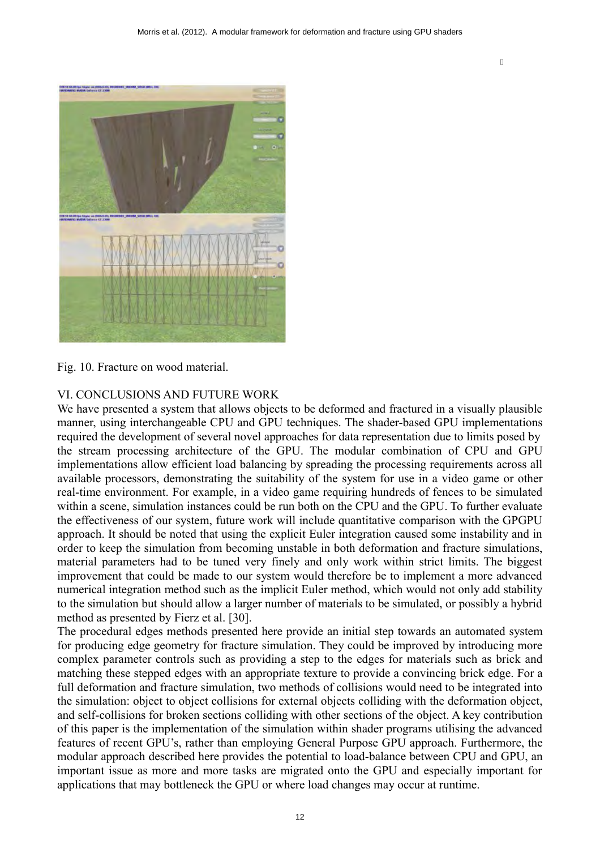

Fig. 10. Fracture on wood material.

## VI. CONCLUSIONS AND FUTURE WORK

We have presented a system that allows objects to be deformed and fractured in a visually plausible manner, using interchangeable CPU and GPU techniques. The shader-based GPU implementations required the development of several novel approaches for data representation due to limits posed by the stream processing architecture of the GPU. The modular combination of CPU and GPU implementations allow efficient load balancing by spreading the processing requirements across all available processors, demonstrating the suitability of the system for use in a video game or other real-time environment. For example, in a video game requiring hundreds of fences to be simulated within a scene, simulation instances could be run both on the CPU and the GPU. To further evaluate the effectiveness of our system, future work will include quantitative comparison with the GPGPU approach. It should be noted that using the explicit Euler integration caused some instability and in order to keep the simulation from becoming unstable in both deformation and fracture simulations, material parameters had to be tuned very finely and only work within strict limits. The biggest improvement that could be made to our system would therefore be to implement a more advanced numerical integration method such as the implicit Euler method, which would not only add stability to the simulation but should allow a larger number of materials to be simulated, or possibly a hybrid method as presented by Fierz et al. [30]. Morris et al. (2012). A modular framework for deformation and fracture using GPU shades<br>
Morris et al. (2012). A modular framework for deformation and fractured in a v<br>
2012 Morris (2012). A modular and the deformation an

The procedural edges methods presented here provide an initial step towards an automated system for producing edge geometry for fracture simulation. They could be improved by introducing more complex parameter controls such as providing a step to the edges for materials such as brick and matching these stepped edges with an appropriate texture to provide a convincing brick edge. For a full deformation and fracture simulation, two methods of collisions would need to be integrated into the simulation: object to object collisions for external objects colliding with the deformation object, and self-collisions for broken sections colliding with other sections of the object. A key contribution of this paper is the implementation of the simulation within shader programs utilising the advanced features of recent GPU's, rather than employing General Purpose GPU approach. Furthermore, the modular approach described here provides the potential to load-balance between CPU and GPU, an important issue as more and more tasks are migrated onto the GPU and especially important for applications that may bottleneck the GPU or where load changes may occur at runtime.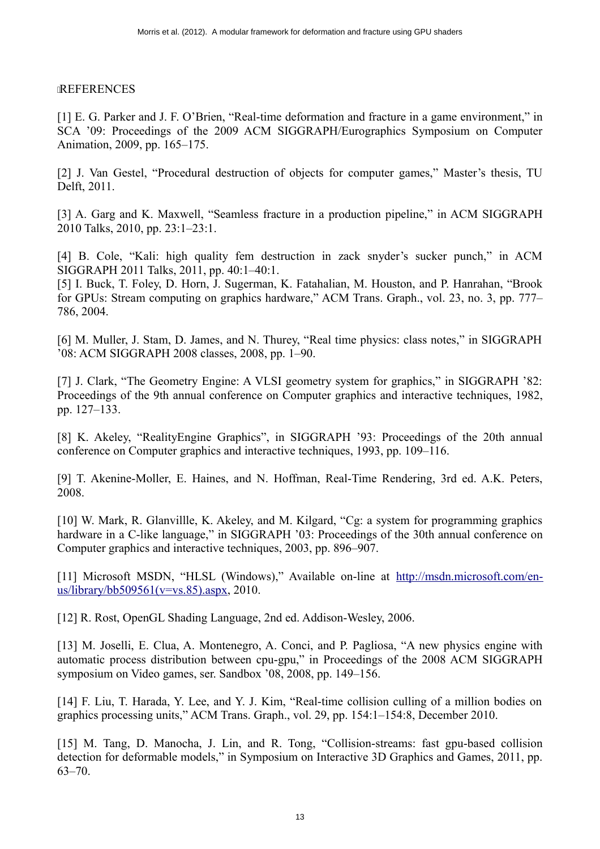#### REFERENCES

[1] E. G. Parker and J. F. O'Brien, "Real-time deformation and fracture in a game environment," in SCA '09: Proceedings of the 2009 ACM SIGGRAPH/Eurographics Symposium on Computer Animation, 2009, pp. 165–175.

[2] J. Van Gestel, "Procedural destruction of objects for computer games," Master's thesis, TU Delft, 2011.

[3] A. Garg and K. Maxwell, "Seamless fracture in a production pipeline," in ACM SIGGRAPH 2010 Talks, 2010, pp. 23:1–23:1.

[4] B. Cole, "Kali: high quality fem destruction in zack snyder's sucker punch," in ACM SIGGRAPH 2011 Talks, 2011, pp. 40:1–40:1.

[5] I. Buck, T. Foley, D. Horn, J. Sugerman, K. Fatahalian, M. Houston, and P. Hanrahan, "Brook for GPUs: Stream computing on graphics hardware," ACM Trans. Graph., vol. 23, no. 3, pp. 777– 786, 2004.

[6] M. Muller, J. Stam, D. James, and N. Thurey, "Real time physics: class notes," in SIGGRAPH '08: ACM SIGGRAPH 2008 classes, 2008, pp. 1–90.

[7] J. Clark, "The Geometry Engine: A VLSI geometry system for graphics," in SIGGRAPH '82: Proceedings of the 9th annual conference on Computer graphics and interactive techniques, 1982, pp. 127–133.

[8] K. Akeley, "RealityEngine Graphics", in SIGGRAPH '93: Proceedings of the 20th annual conference on Computer graphics and interactive techniques, 1993, pp. 109–116.

[9] T. Akenine-Moller, E. Haines, and N. Hoffman, Real-Time Rendering, 3rd ed. A.K. Peters, 2008.

[10] W. Mark, R. Glanvillle, K. Akeley, and M. Kilgard, "Cg: a system for programming graphics hardware in a C-like language," in SIGGRAPH '03: Proceedings of the 30th annual conference on Computer graphics and interactive techniques, 2003, pp. 896–907.

[11] Microsoft MSDN, "HLSL (Windows)," Available on-line at [http://msdn.microsoft.com/en](http://msdn.microsoft.com/en-us/library/bb509561(v=vs.85).aspx)[us/library/bb509561\(v=vs.85\).aspx,](http://msdn.microsoft.com/en-us/library/bb509561(v=vs.85).aspx) 2010.

[12] R. Rost, OpenGL Shading Language, 2nd ed. Addison-Wesley, 2006.

[13] M. Joselli, E. Clua, A. Montenegro, A. Conci, and P. Pagliosa, "A new physics engine with automatic process distribution between cpu-gpu," in Proceedings of the 2008 ACM SIGGRAPH symposium on Video games, ser. Sandbox '08, 2008, pp. 149–156. Morris et al. (2012). A modular framework for deformation and fracture iin a game<br>and J. F. O'Brien, "Real-time deformation and fracture iin a game<br>edings of the 2009 ACM SIGGRAPH/Furographics. Symposiur<br>edials of the 2009

[14] F. Liu, T. Harada, Y. Lee, and Y. J. Kim, "Real-time collision culling of a million bodies on graphics processing units," ACM Trans. Graph., vol. 29, pp. 154:1–154:8, December 2010.

[15] M. Tang, D. Manocha, J. Lin, and R. Tong, "Collision-streams: fast gpu-based collision detection for deformable models," in Symposium on Interactive 3D Graphics and Games, 2011, pp. 63–70.